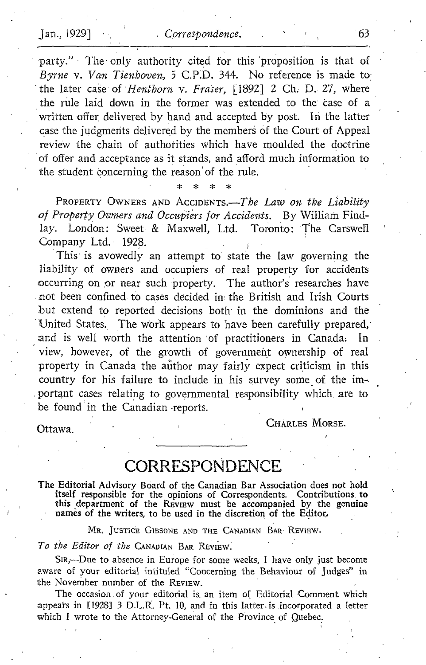Jan., 1929] Correspondence. 63<br>
party." The only authority cited for this proposition is that of<br>
Byrne v. Van Tienboven, 5 C.P.D. 344. No reference is made to<br>
the later case of *Hentborn v. Fraser*. [1892] 2 Ch. D. 27. w -party." - The only authority cited for this 'proposition is that of Byrne v. Van Tienhoven, 5 C.P.D. 344. No reference is made to the later case of *Henthorn v. Fraser*, [1892] 2 Ch. D. 27, where the rule laid down in the former was extended to the case of a written offer delivered by hand and accepted by post. In the latter case the judgments delivered by the members of the Court of Appeal review the chain of authorities which have moulded the doctrine of offer and .acceptance as it stands, and afford much information to the student concerning the reason'of the rule.

PROPERTY OWNERS AND ACCIDENTS.- $The Law on the Liability$ of Property Owners and Occupiers for Accidents. By William Findlay. London: Sweet & Maxwell, Ltd. Toronto: The Carswell Company Ltd. 1928.

x.

This is avowedly an attempt to state the law governing the liability of owners and occupiers of real property for accidents occurring on or near such property. The author's researches have not been confined to cases decided ini the British and Irish Courts but extend to reported decisions both in the dominions and the United States. The work appears to have been carefully prepared, and is well worth the attention of practitioners in Canada. In and is well worth the attention of practitioners in Canada. view, however, of the growth of government ownership of real property in Canada the author may fairly expect criticism in this country for his failure to include in his survey some of the important cases relating to governmental responsibility which are to be found in the Canadian -reports.

Ottawa.

CHARLES MORSE.

## **CORRESPONDENCE**

The Editorial Advisory Board of the Canadian Bar Association does not hold itself responsible for the opinions of Correspondents. Contributions to this department of the REVIEW must be accompanied by the genuine names of the writers, to be used in the discretion of the Editor,

MR. JUSTICE GIBSONE AND THE CANADIAN BAR- REVIEW.

To the Editor of the CANADIAN BAR REVIEW.

SIR,---Due to absence in Europe for some weeks, I have only just become aware of your editorial intituled "Concerning the Behaviour of judges" in the November number of the REVIEW.

The occasion of your editorial is, an' item of Editorial Comment which appears in [1928] 3 D.L.R. Pt. 10, and in this latter is incorporated a letter which <sup>I</sup> wrote to the Attorney-General of the Province of Quebec.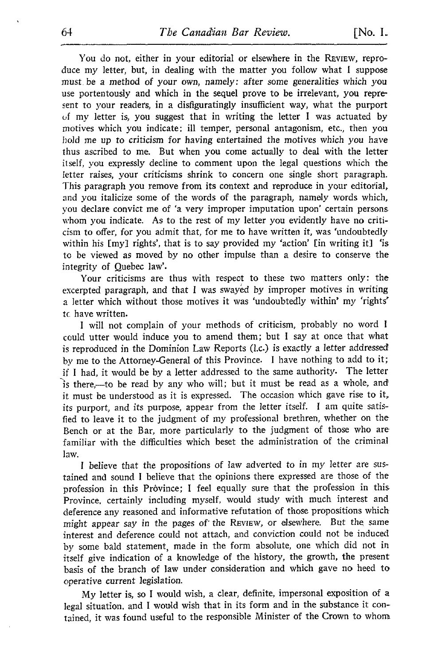You do not, either in your editorial or elsewhere in the REVIEW, reproduce my letter, but, in dealing with the matter you follow what <sup>I</sup> suppose must, be a method of your own, namely : after some generalities which you use portentously and which in the sequel prove to be irrelevant, you represent to your readers, in a disfiguratingly insufficient way, what the purport of my letter is, you suggest that in writing the letter <sup>I</sup> was actuated by motives which you indicate: ill temper, personal antagonism, etc., then you hold me up to criticism for having entertained the motives which you have thus ascribed to me. But when you come actually to deal with the letter itself, you expressly decline to comment upon the legal questions which the letter raises, your criticisms shrink to concern one single short paragraph. This paragraph you remove from its context and reproduce in your editorial, and you italicize some of the words of the paragraph, namely words which, you declare convict me of `a very improper imputation upon' certain persons whom you indicate . As to the rest of my letter you evidently have no criticism to offer, for you admit that, for me to have written it, was 'undoubtedly within his [my] rights', that is to say provided my 'action' [in writing it] 'is to be viewed as moved by no other impulse than a desire to conserve the integrity of Quebec law'.

Your criticisms are thus with respect to these two matters only: the excerpted paragraph, and that <sup>I</sup> was swayed by improper motives in writing a letter which without those motives it was 'undoubtedly within' my 'rights' tc have written.

<sup>I</sup> will not complain of your methods of criticism, probably no word <sup>1</sup> could utter would induce you to amend them; but <sup>I</sup> say at once that what is reproduced in the Dominion Law Reports (l.c.) is exactly a letter addressed by me to the Attorney-General of this Province. I have nothing to add to it; if <sup>I</sup> had, it would be by a letter addressed to the same authority. The letter is there,--to be read by any who will; but it must be read as a whole, and it must be understood as it is expressed. The occasion which gave rise to it, its purport, and its purpose, appear from the letter itself. <sup>I</sup> am quite satisfied to leave it to the judgment of my professional brethren, whether on the Bench or at the Bar, more particularly to the judgment of those who are familiar with the difficulties which beset the administration of the criminal law.

<sup>I</sup> believe that the propositions of law adverted to in my letter are sustained and sound <sup>I</sup> believe that the opinions there expressed are those of the profession in this Province; I feel equally sure that the profession in this Province, certainly including myself, would study with much interest and deference any reasoned and informative refutation of those propositions which might appear say in the pages of the REVIEW, or elsewhere. But the same interest and deference could not attach, and conviction could not be induced by some bald statement, made in the form absolute, one which did not in itself give indication of <sup>a</sup> knowledge of the history, the growth, the present basis of the branch of law under consideration and which gave no heed to operative current legislation.

My letter is, so <sup>I</sup> would wish, <sup>a</sup> clear, definite, impersonal exposition of <sup>a</sup> legal situation, and <sup>I</sup> would wish that in its form and in the substance it contained, it was found useful to the responsible Minister of the Crown to whom+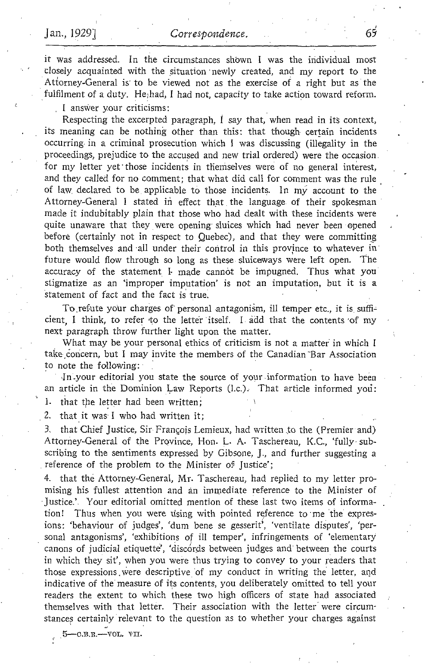it was addressed. In the circumstances shown <sup>I</sup> was the individual most closely acquainted with the situation newly created, and my report to the Attorney-General is to be viewed not as the exercise of a right but as the fulfilment of a duty. He;had, I had not, capacity to take action toward reform.

<sup>I</sup> answer your criticisms :

Respecting the excerpted paragraph,  $\dot{I}$  say that, when read in its context, its meaning can be nothing other than this: that though certain incidents occurring, in a criminal prosecution which <sup>I</sup> was discussing (illegality in the proceedings, prejudice to the accused and new trial ordered) were the occasion . for my letter yet those incidents in themselves were of no general interest, and they called for no comment; that what did call for comment was the rule of law, declared to be applicable to those incidents. In my account to the Attorney-General <sup>I</sup> stated in effect that the language of their spokesman made it indubitably plain that those who had dealt with these incidents were quite unaware that they were opening sluices which had never been opened before (certainly not in respect to Quebec), and that they were committing both themselves and -all under their control in this province to whatever in' future would flow through so long as these sluiceways were left open. The accuracy of the statement I- made cannot be impugned. Thus what you stigmatize as an `improper imputation' is not an imputation, but it is a statement of fact and the fact is true.

To .refute your charges of personal antagonism, ill temper etc., it is suffi= cient, I think, to refer to the letter itself. I add that the contents of my next paragraph throw further light upon the matter.

What may be your personal ethics of criticism is not a matter in which <sup>I</sup> take concern, but I may invite the members of the Canadian Bar Association to note the following:

In-your editorial you state the source of your-information to have been an article in the Dominion Law Reports (I.c.). That article informed you:

1. that the letter had been written;

2. that it was I who had written it;

3, that Chief Justice, Sir François Lemieux, had written to the (Premier and) Attorney-General of the Province, Hon. L. A. Taschereau, K.C., 'fully subscribing to the sentiments expressed by Gibsone, J., and further suggesting <sup>a</sup> reference of the problem to the Minister of Justice';

4. that the Attorney-General, Mr. Taschereau, had replied to my letter promising his fullest attention and an immediate reference to the Minister of Justice.' . Your editorial omitted mention of these last two items of information! Thus when you were using with pointed reference to me the expresions: 'behaviour of judges', 'dum bene se gesserit', 'ventilate disputes', 'personal antagonisms', 'exhibitions of ill temper', infringements of `elementary canons of judicial etiquette', 'discords between judges and between the courts in which they sit', when you were thus trying to convey to your readers that those expressions, were descriptive of my conduct in writing the letter, and indicative of the measure of its contents, you deliberately omitted to tell your readers the extent to which these two high officers of state had associated themselves with that letter. Their association with the letter were circumstances certainly relevant to the question as to whether your charges against

 $5-0.8.$ R $-$ VOL. VII.